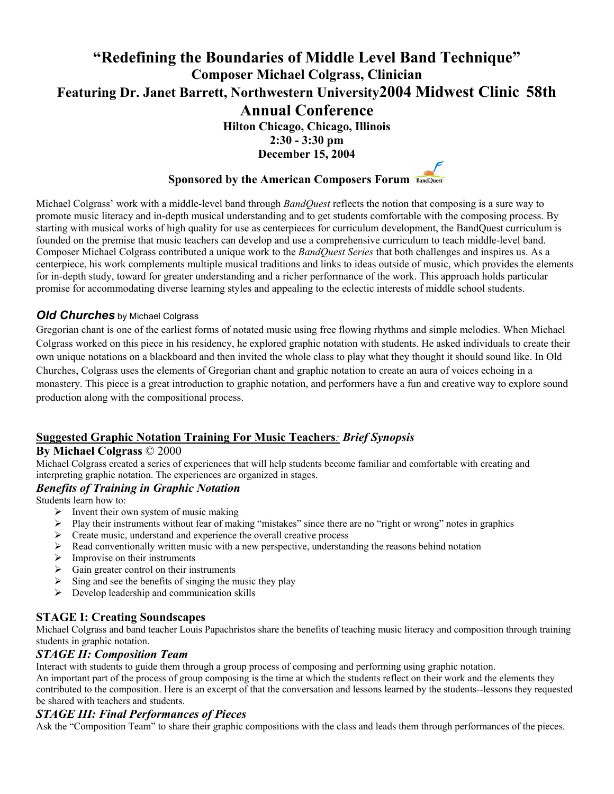# **"Redefining the Boundaries of Middle Level Band Technique" Composer Michael Colgrass, Clinician Featuring Dr. Janet Barrett, Northwestern University2004 Midwest Clinic 58th**

## **Annual Conference**

**Hilton Chicago, Chicago, Illinois** 

**2:30 - 3:30 pm** 

**December 15, 2004** 

# **Sponsored by the American Composers Forum**

Michael Colgrass' work with a middle-level band through *BandQuest* reflects the notion that composing is a sure way to promote music literacy and in-depth musical understanding and to get students comfortable with the composing process. By starting with musical works of high quality for use as centerpieces for curriculum development, the BandQuest curriculum is founded on the premise that music teachers can develop and use a comprehensive curriculum to teach middle-level band. Composer Michael Colgrass contributed a unique work to the *BandQuest Series* that both challenges and inspires us. As a centerpiece, his work complements multiple musical traditions and links to ideas outside of music, which provides the elements for in-depth study, toward for greater understanding and a richer performance of the work. This approach holds particular promise for accommodating diverse learning styles and appealing to the eclectic interests of middle school students.

#### *Old Churches* by Michael Colgrass

Gregorian chant is one of the earliest forms of notated music using free flowing rhythms and simple melodies. When Michael Colgrass worked on this piece in his residency, he explored graphic notation with students. He asked individuals to create their own unique notations on a blackboard and then invited the whole class to play what they thought it should sound like. In Old Churches, Colgrass uses the elements of Gregorian chant and graphic notation to create an aura of voices echoing in a monastery. This piece is a great introduction to graphic notation, and performers have a fun and creative way to explore sound production along with the compositional process.

#### **Suggested Graphic Notation Training For Music Teachers***: Brief Synopsis*

#### **By Michael Colgrass** © 2000

Michael Colgrass created a series of experiences that will help students become familiar and comfortable with creating and interpreting graphic notation. The experiences are organized in stages.

#### *Benefits of Training in Graphic Notation*

Students learn how to:

- $\triangleright$  Invent their own system of music making
- $\triangleright$  Play their instruments without fear of making "mistakes" since there are no "right or wrong" notes in graphics
- $\triangleright$  Create music, understand and experience the overall creative process
- $\triangleright$  Read conventionally written music with a new perspective, understanding the reasons behind notation
- $\triangleright$  Improvise on their instruments
- $\triangleright$  Gain greater control on their instruments
- $\triangleright$  Sing and see the benefits of singing the music they play
- $\triangleright$  Develop leadership and communication skills

**STAGE I: Creating Soundscapes**<br>Michael Colgrass and band teacher Louis Papachristos share the benefits of teaching music literacy and composition through training students in graphic notation.

#### *STAGE II: Composition Team*

Interact with students to guide them through a group process of composing and performing using graphic notation.

An important part of the process of group composing is the time at which the students reflect on their work and the elements they contributed to the composition. Here is an excerpt of that the conversation and lessons learned by the students--lessons they requested be shared with teachers and students.

#### *STAGE III: Final Performances of Pieces*

Ask the "Composition Team" to share their graphic compositions with the class and leads them through performances of the pieces.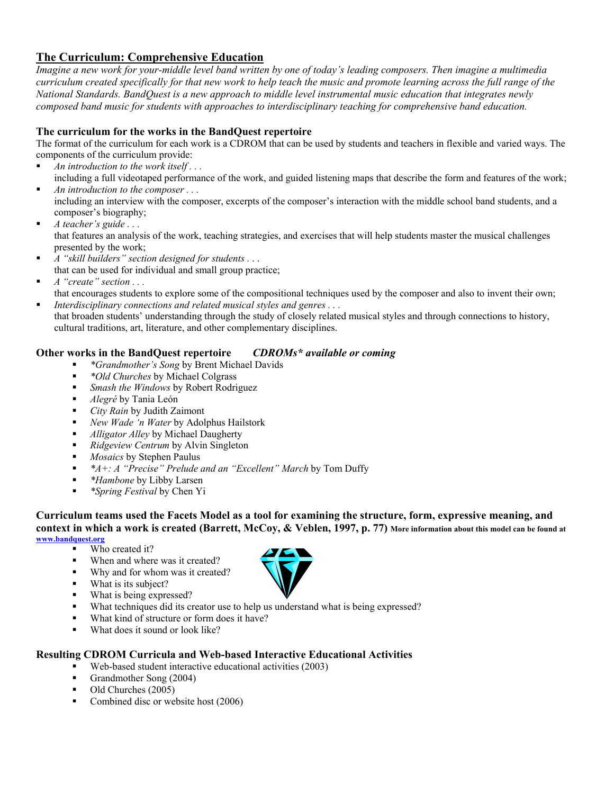#### **The Curriculum: Comprehensive Education**

*Imagine a new work for your-middle level band written by one of today's leading composers. Then imagine a multimedia curriculum created specifically for that new work to help teach the music and promote learning across the full range of the National Standards. BandQuest is a new approach to middle level instrumental music education that integrates newly composed band music for students with approaches to interdisciplinary teaching for comprehensive band education.* 

#### **The curriculum for the works in the BandQuest repertoire**

The format of the curriculum for each work is a CDROM that can be used by students and teachers in flexible and varied ways. The components of the curriculum provide:

- *An introduction to the work itself . . .*  including a full videotaped performance of the work, and guided listening maps that describe the form and features of the work;
- *An introduction to the composer . . .*  including an interview with the composer, excerpts of the composer's interaction with the middle school band students, and a
- composer's biography; *A teacher's guide . . .*
- that features an analysis of the work, teaching strategies, and exercises that will help students master the musical challenges presented by the work;
- *A "skill builders" section designed for students .* . . that can be used for individual and small group practice;
- *A "create" section . . .*
- that encourages students to explore some of the compositional techniques used by the composer and also to invent their own; *Interdisciplinary connections and related musical styles and genres . . .*
- that broaden students' understanding through the study of closely related musical styles and through connections to history, cultural traditions, art, literature, and other complementary disciplines.

#### **Other works in the BandQuest repertoire** *CDROMs\* available or coming*

- *\*Grandmother's Song* by Brent Michael Davids
- *\*Old Churches* by Michael Colgrass
- *Smash the Windows* by Robert Rodriguez
- *Alegré* by Tania León
- *City Rain* by Judith Zaimont
- *New Wade 'n Water* by Adolphus Hailstork
- *Alligator Alley* by Michael Daugherty
- *Ridgeview Centrum* by Alvin Singleton
- *Mosaics* by Stephen Paulus
- *\*A+: A "Precise" Prelude and an "Excellent" March* by Tom Duffy
- *\*Hambone* by Libby Larsen
- *\*Spring Festival* by Chen Yi

**Curriculum teams used the Facets Model as a tool for examining the structure, form, expressive meaning, and context in which a work is created (Barrett, McCoy, & Veblen, 1997, p. 77) More information about this model can be found at www.bandquest.org**

- Who created it?
- When and where was it created?
- Why and for whom was it created?
- What is its subject?
- What is being expressed?
- What techniques did its creator use to help us understand what is being expressed?
- What kind of structure or form does it have?
- What does it sound or look like?

#### **Resulting CDROM Curricula and Web-based Interactive Educational Activities**

- Web-based student interactive educational activities (2003)
- Grandmother Song (2004)
- Old Churches (2005)
- Combined disc or website host (2006)